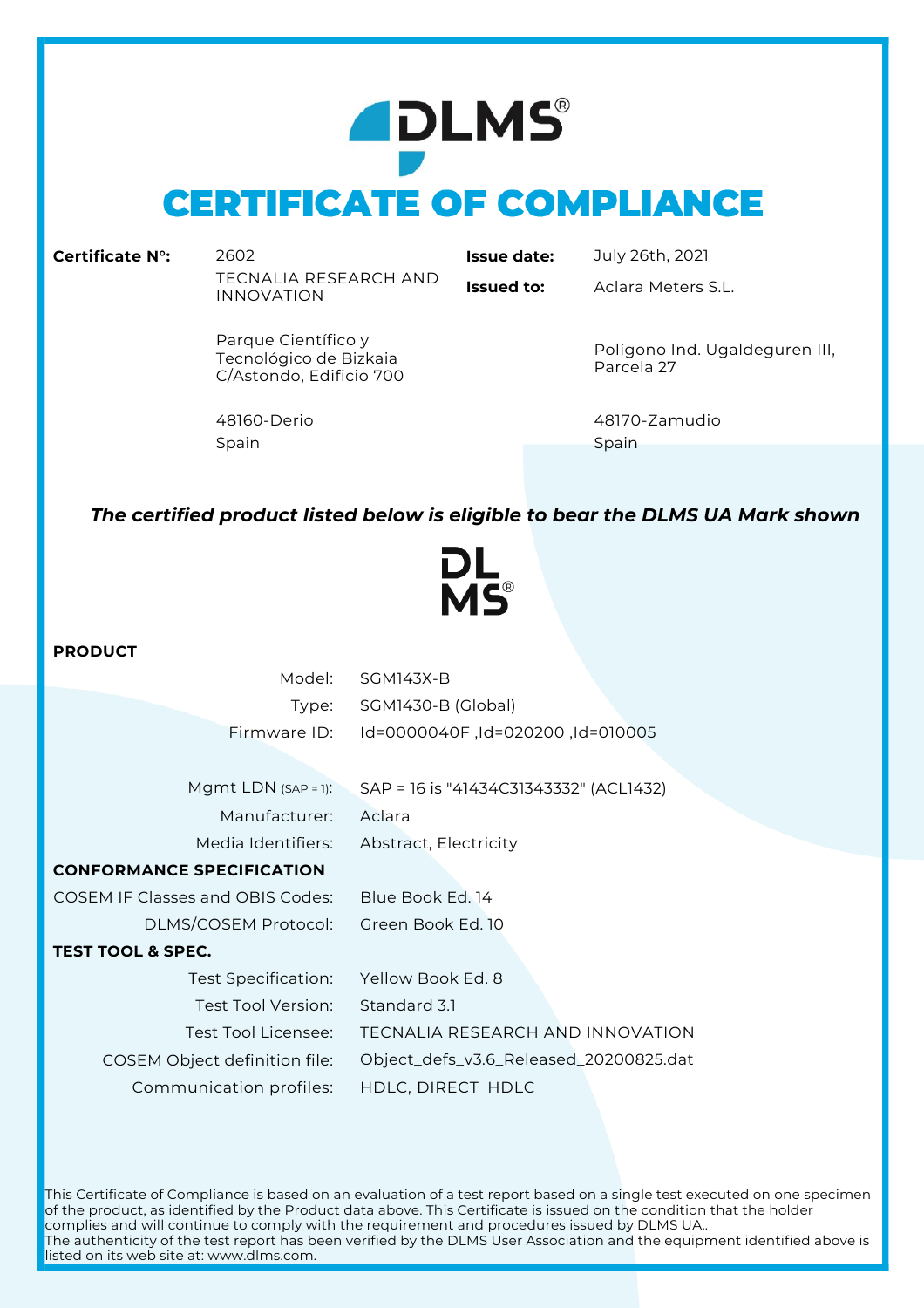# **ADLMS® CERTIFICATE OF COMPLIANCE**

**Certificate N°:** 2602 **Issue date:** July 26th, 2021 TECNALIA RESEARCH AND INNOVATION **Issued to:** Aclara Meters S.L.

Parque Científico y Tecnológico de Bizkaia C/Astondo, Edificio 700

Spain Spain Spain Spain Spain Spain Spain Spain Spain Spain Spain Spain Spain Spain Spain Spain Spain Spain Sp

Polígono Ind. Ugaldeguren III, Parcela 27

48160-Derio 48170-Zamudio

## *The certified product listed below is eligible to bear the DLMS UA Mark shown*



### **PRODUCT**

| Model:                                  | <b>SGM143X-B</b>                       |
|-----------------------------------------|----------------------------------------|
| Type:                                   | SGM1430-B (Global)                     |
| Firmware ID:                            | Id=0000040F, Id=020200, Id=00005       |
|                                         |                                        |
| Mgmt LDN $(SAP = 1)$ :                  | SAP = 16 is "41434C31343332" (ACL1432) |
| Manufacturer:                           | Aclara                                 |
| Media Identifiers:                      | Abstract, Electricity                  |
| <b>CONFORMANCE SPECIFICATION</b>        |                                        |
| <b>COSEM IF Classes and OBIS Codes:</b> | Blue Book Ed 14                        |
| DLMS/COSEM Protocol:                    | Green Book Ed. 10                      |
| <b>TEST TOOL &amp; SPEC.</b>            |                                        |
| Test Specification:                     | Yellow Book Ed. 8                      |
| Test Tool Version:                      | Standard 3.1                           |
| Test Tool Licensee:                     | TECNALIA RESEARCH AND INNOVATION       |
| COSEM Object definition file:           | Object_defs_v3.6_Released_20200825.dat |
| Communication profiles:                 | HDLC, DIRECT_HDLC                      |
|                                         |                                        |

This Certificate of Compliance is based on an evaluation of a test report based on a single test executed on one specimen of the product, as identified by the Product data above. This Certificate is issued on the condition that the holder complies and will continue to comply with the requirement and procedures issued by DLMS UA.. The authenticity of the test report has been verified by the DLMS User Association and the equipment identified above is listed on its web site at: www.dlms.com.